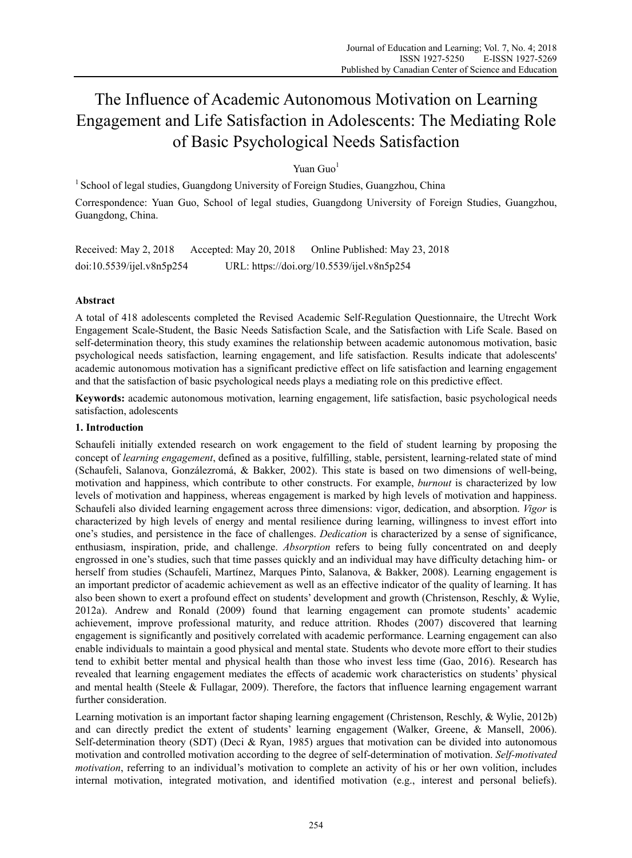# The Influence of Academic Autonomous Motivation on Learning Engagement and Life Satisfaction in Adolescents: The Mediating Role of Basic Psychological Needs Satisfaction

# Yuan Guo<sup>1</sup>

<sup>1</sup> School of legal studies, Guangdong University of Foreign Studies, Guangzhou, China Correspondence: Yuan Guo, School of legal studies, Guangdong University of Foreign Studies, Guangzhou, Guangdong, China.

Received: May 2, 2018 Accepted: May 20, 2018 Online Published: May 23, 2018 doi:10.5539/ijel.v8n5p254 URL: https://doi.org/10.5539/ijel.v8n5p254

## **Abstract**

A total of 418 adolescents completed the Revised Academic Self-Regulation Questionnaire, the Utrecht Work Engagement Scale-Student, the Basic Needs Satisfaction Scale, and the Satisfaction with Life Scale. Based on self-determination theory, this study examines the relationship between academic autonomous motivation, basic psychological needs satisfaction, learning engagement, and life satisfaction. Results indicate that adolescents' academic autonomous motivation has a significant predictive effect on life satisfaction and learning engagement and that the satisfaction of basic psychological needs plays a mediating role on this predictive effect.

**Keywords:** academic autonomous motivation, learning engagement, life satisfaction, basic psychological needs satisfaction, adolescents

## **1. Introduction**

Schaufeli initially extended research on work engagement to the field of student learning by proposing the concept of *learning engagement*, defined as a positive, fulfilling, stable, persistent, learning-related state of mind (Schaufeli, Salanova, Gonzálezromá, & Bakker, 2002). This state is based on two dimensions of well-being, motivation and happiness, which contribute to other constructs. For example, *burnout* is characterized by low levels of motivation and happiness, whereas engagement is marked by high levels of motivation and happiness. Schaufeli also divided learning engagement across three dimensions: vigor, dedication, and absorption. *Vigor* is characterized by high levels of energy and mental resilience during learning, willingness to invest effort into one's studies, and persistence in the face of challenges. *Dedication* is characterized by a sense of significance, enthusiasm, inspiration, pride, and challenge. *Absorption* refers to being fully concentrated on and deeply engrossed in one's studies, such that time passes quickly and an individual may have difficulty detaching him- or herself from studies (Schaufeli, Martínez, Marques Pinto, Salanova, & Bakker, 2008). Learning engagement is an important predictor of academic achievement as well as an effective indicator of the quality of learning. It has also been shown to exert a profound effect on students' development and growth (Christenson, Reschly, & Wylie, 2012a). Andrew and Ronald (2009) found that learning engagement can promote students' academic achievement, improve professional maturity, and reduce attrition. Rhodes (2007) discovered that learning engagement is significantly and positively correlated with academic performance. Learning engagement can also enable individuals to maintain a good physical and mental state. Students who devote more effort to their studies tend to exhibit better mental and physical health than those who invest less time (Gao, 2016). Research has revealed that learning engagement mediates the effects of academic work characteristics on students' physical and mental health (Steele & Fullagar, 2009). Therefore, the factors that influence learning engagement warrant further consideration.

Learning motivation is an important factor shaping learning engagement (Christenson, Reschly, & Wylie, 2012b) and can directly predict the extent of students' learning engagement (Walker, Greene, & Mansell, 2006). Self-determination theory (SDT) (Deci & Ryan, 1985) argues that motivation can be divided into autonomous motivation and controlled motivation according to the degree of self-determination of motivation. *Self-motivated motivation*, referring to an individual's motivation to complete an activity of his or her own volition, includes internal motivation, integrated motivation, and identified motivation (e.g., interest and personal beliefs).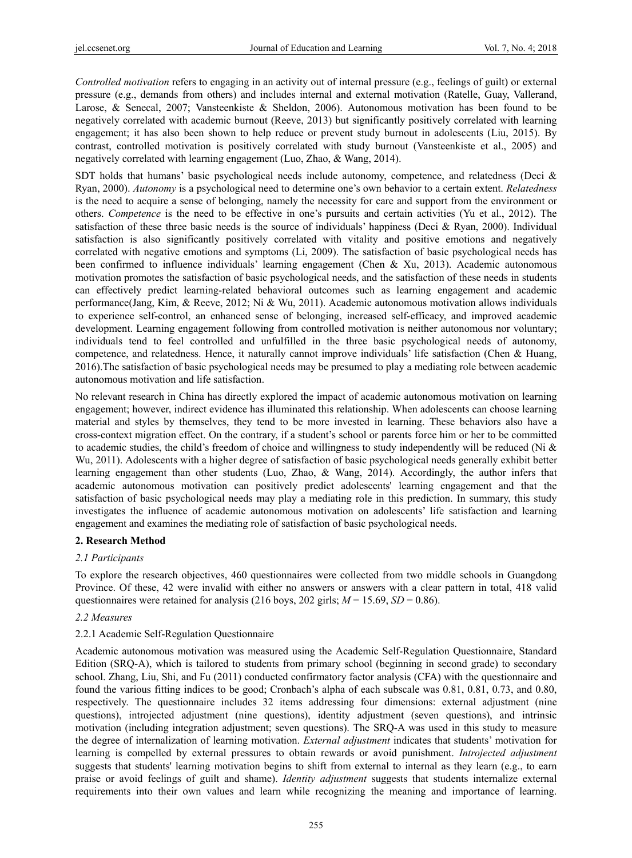*Controlled motivation* refers to engaging in an activity out of internal pressure (e.g., feelings of guilt) or external pressure (e.g., demands from others) and includes internal and external motivation (Ratelle, Guay, Vallerand, Larose, & Senecal, 2007; Vansteenkiste & Sheldon, 2006). Autonomous motivation has been found to be negatively correlated with academic burnout (Reeve, 2013) but significantly positively correlated with learning engagement; it has also been shown to help reduce or prevent study burnout in adolescents (Liu, 2015). By contrast, controlled motivation is positively correlated with study burnout (Vansteenkiste et al., 2005) and negatively correlated with learning engagement (Luo, Zhao, & Wang, 2014).

SDT holds that humans' basic psychological needs include autonomy, competence, and relatedness (Deci & Ryan, 2000). *Autonomy* is a psychological need to determine one's own behavior to a certain extent. *Relatedness* is the need to acquire a sense of belonging, namely the necessity for care and support from the environment or others. *Competence* is the need to be effective in one's pursuits and certain activities (Yu et al., 2012). The satisfaction of these three basic needs is the source of individuals' happiness (Deci & Ryan, 2000). Individual satisfaction is also significantly positively correlated with vitality and positive emotions and negatively correlated with negative emotions and symptoms (Li, 2009). The satisfaction of basic psychological needs has been confirmed to influence individuals' learning engagement (Chen & Xu, 2013). Academic autonomous motivation promotes the satisfaction of basic psychological needs, and the satisfaction of these needs in students can effectively predict learning-related behavioral outcomes such as learning engagement and academic performance(Jang, Kim, & Reeve, 2012; Ni & Wu, 2011). Academic autonomous motivation allows individuals to experience self-control, an enhanced sense of belonging, increased self-efficacy, and improved academic development. Learning engagement following from controlled motivation is neither autonomous nor voluntary; individuals tend to feel controlled and unfulfilled in the three basic psychological needs of autonomy, competence, and relatedness. Hence, it naturally cannot improve individuals' life satisfaction (Chen & Huang, 2016).The satisfaction of basic psychological needs may be presumed to play a mediating role between academic autonomous motivation and life satisfaction.

No relevant research in China has directly explored the impact of academic autonomous motivation on learning engagement; however, indirect evidence has illuminated this relationship. When adolescents can choose learning material and styles by themselves, they tend to be more invested in learning. These behaviors also have a cross-context migration effect. On the contrary, if a student's school or parents force him or her to be committed to academic studies, the child's freedom of choice and willingness to study independently will be reduced (Ni  $\&$ Wu, 2011). Adolescents with a higher degree of satisfaction of basic psychological needs generally exhibit better learning engagement than other students (Luo, Zhao, & Wang, 2014). Accordingly, the author infers that academic autonomous motivation can positively predict adolescents' learning engagement and that the satisfaction of basic psychological needs may play a mediating role in this prediction. In summary, this study investigates the influence of academic autonomous motivation on adolescents' life satisfaction and learning engagement and examines the mediating role of satisfaction of basic psychological needs.

#### **2. Research Method**

#### *2.1 Participants*

To explore the research objectives, 460 questionnaires were collected from two middle schools in Guangdong Province. Of these, 42 were invalid with either no answers or answers with a clear pattern in total, 418 valid questionnaires were retained for analysis (216 boys, 202 girls;  $M = 15.69$ ,  $SD = 0.86$ ).

#### *2.2 Measures*

# 2.2.1 Academic Self-Regulation Questionnaire

Academic autonomous motivation was measured using the Academic Self-Regulation Questionnaire, Standard Edition (SRQ-A), which is tailored to students from primary school (beginning in second grade) to secondary school. Zhang, Liu, Shi, and Fu (2011) conducted confirmatory factor analysis (CFA) with the questionnaire and found the various fitting indices to be good; Cronbach's alpha of each subscale was 0.81, 0.81, 0.73, and 0.80, respectively. The questionnaire includes 32 items addressing four dimensions: external adjustment (nine questions), introjected adjustment (nine questions), identity adjustment (seven questions), and intrinsic motivation (including integration adjustment; seven questions). The SRQ-A was used in this study to measure the degree of internalization of learning motivation. *External adjustment* indicates that students' motivation for learning is compelled by external pressures to obtain rewards or avoid punishment. *Introjected adjustment* suggests that students' learning motivation begins to shift from external to internal as they learn (e.g., to earn praise or avoid feelings of guilt and shame). *Identity adjustment* suggests that students internalize external requirements into their own values and learn while recognizing the meaning and importance of learning.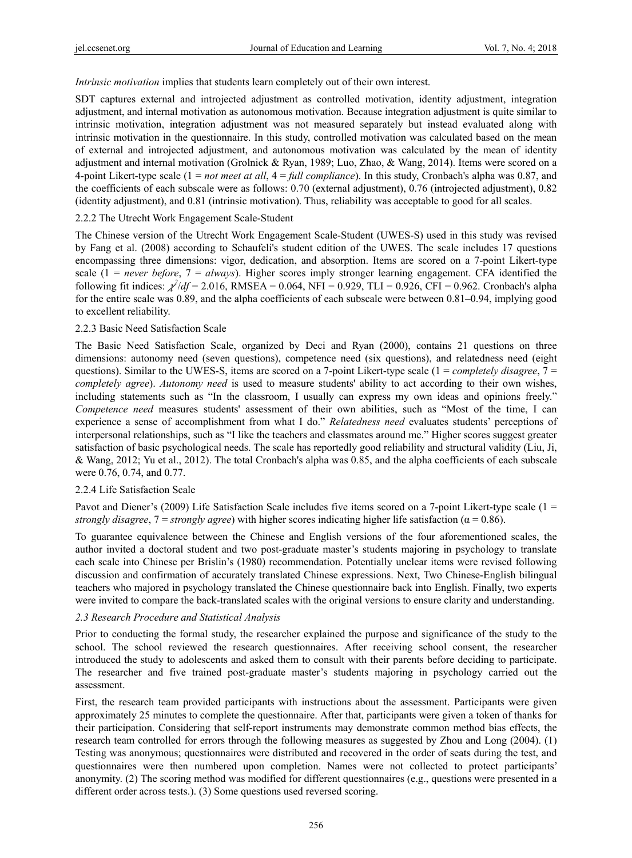*Intrinsic motivation* implies that students learn completely out of their own interest.

SDT captures external and introjected adjustment as controlled motivation, identity adjustment, integration adjustment, and internal motivation as autonomous motivation. Because integration adjustment is quite similar to intrinsic motivation, integration adjustment was not measured separately but instead evaluated along with intrinsic motivation in the questionnaire. In this study, controlled motivation was calculated based on the mean of external and introjected adjustment, and autonomous motivation was calculated by the mean of identity adjustment and internal motivation (Grolnick & Ryan, 1989; Luo, Zhao, & Wang, 2014). Items were scored on a 4-point Likert-type scale (1 = *not meet at all*, 4 = *full compliance*). In this study, Cronbach's alpha was 0.87, and the coefficients of each subscale were as follows: 0.70 (external adjustment), 0.76 (introjected adjustment), 0.82 (identity adjustment), and 0.81 (intrinsic motivation). Thus, reliability was acceptable to good for all scales.

## 2.2.2 The Utrecht Work Engagement Scale-Student

The Chinese version of the Utrecht Work Engagement Scale-Student (UWES-S) used in this study was revised by Fang et al. (2008) according to Schaufeli's student edition of the UWES. The scale includes 17 questions encompassing three dimensions: vigor, dedication, and absorption. Items are scored on a 7-point Likert-type scale (1 = *never before*, 7 = *always*). Higher scores imply stronger learning engagement. CFA identified the following fit indices:  $\chi^2/df = 2.016$ , RMSEA = 0.064, NFI = 0.929, TLI = 0.926, CFI = 0.962. Cronbach's alpha for the entire scale was 0.89, and the alpha coefficients of each subscale were between 0.81–0.94, implying good to excellent reliability.

## 2.2.3 Basic Need Satisfaction Scale

The Basic Need Satisfaction Scale, organized by Deci and Ryan (2000), contains 21 questions on three dimensions: autonomy need (seven questions), competence need (six questions), and relatedness need (eight questions). Similar to the UWES-S, items are scored on a 7-point Likert-type scale  $(1 = completely \, disagree, 7 =$ *completely agree*). *Autonomy need* is used to measure students' ability to act according to their own wishes, including statements such as "In the classroom, I usually can express my own ideas and opinions freely." *Competence need* measures students' assessment of their own abilities, such as "Most of the time, I can experience a sense of accomplishment from what I do." *Relatedness need* evaluates students' perceptions of interpersonal relationships, such as "I like the teachers and classmates around me." Higher scores suggest greater satisfaction of basic psychological needs. The scale has reportedly good reliability and structural validity (Liu, Ji, & Wang, 2012; Yu et al., 2012). The total Cronbach's alpha was 0.85, and the alpha coefficients of each subscale were 0.76, 0.74, and 0.77.

# 2.2.4 Life Satisfaction Scale

Pavot and Diener's (2009) Life Satisfaction Scale includes five items scored on a 7-point Likert-type scale (1 = *strongly disagree*,  $7 =$  *strongly agree*) with higher scores indicating higher life satisfaction ( $\alpha = 0.86$ ).

To guarantee equivalence between the Chinese and English versions of the four aforementioned scales, the author invited a doctoral student and two post-graduate master's students majoring in psychology to translate each scale into Chinese per Brislin's (1980) recommendation. Potentially unclear items were revised following discussion and confirmation of accurately translated Chinese expressions. Next, Two Chinese-English bilingual teachers who majored in psychology translated the Chinese questionnaire back into English. Finally, two experts were invited to compare the back-translated scales with the original versions to ensure clarity and understanding.

# *2.3 Research Procedure and Statistical Analysis*

Prior to conducting the formal study, the researcher explained the purpose and significance of the study to the school. The school reviewed the research questionnaires. After receiving school consent, the researcher introduced the study to adolescents and asked them to consult with their parents before deciding to participate. The researcher and five trained post-graduate master's students majoring in psychology carried out the assessment.

First, the research team provided participants with instructions about the assessment. Participants were given approximately 25 minutes to complete the questionnaire. After that, participants were given a token of thanks for their participation. Considering that self-report instruments may demonstrate common method bias effects, the research team controlled for errors through the following measures as suggested by Zhou and Long (2004). (1) Testing was anonymous; questionnaires were distributed and recovered in the order of seats during the test, and questionnaires were then numbered upon completion. Names were not collected to protect participants' anonymity. (2) The scoring method was modified for different questionnaires (e.g., questions were presented in a different order across tests.). (3) Some questions used reversed scoring.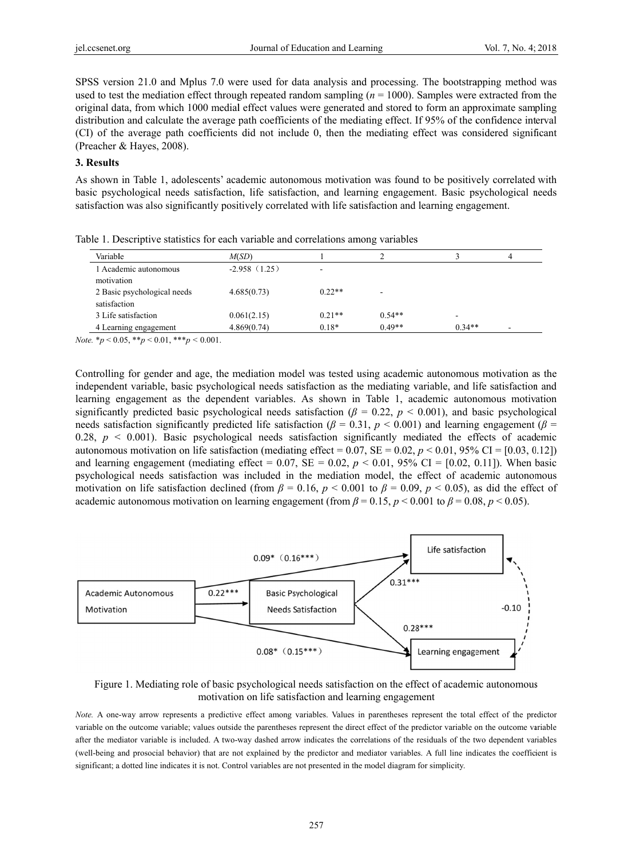SPSS version 21.0 and Mplus 7.0 were used for data analysis and processing. The bootstrapping method was used to test the mediation effect through repeated random sampling  $(n = 1000)$ . Samples were extracted from the original data, from which 1000 medial effect values were generated and stored to form an approximate sampling distribution and calculate the average path coefficients of the mediating effect. If 95% of the confidence interval (CI) of the average path coefficients did not include 0, then the mediating effect was considered significant (Preacher & Hayes, 2008 8).

#### **3. Results**

As shown in Table 1, adolescents' academic autonomous motivation was found to be positively correlated with basic psychological needs satisfaction, life satisfaction, and learning engagement. Basic psychological needs satisfaction was also significantly positively correlated with life satisfaction and learning engagement.

| Variable                                    | M(SD)          |          |          |          |  |
|---------------------------------------------|----------------|----------|----------|----------|--|
| 1 Academic autonomous<br>motivation         | $-2.958(1.25)$ | -        |          |          |  |
| 2 Basic psychological needs<br>satisfaction | 4.685(0.73)    | $0.22**$ |          |          |  |
| 3 Life satisfaction                         | 0.061(2.15)    | $0.21**$ | $0.54**$ |          |  |
| 4 Learning engagement                       | 4.869(0.74)    | $0.18*$  | $0.49**$ | $0.34**$ |  |

Table 1. Descriptive statistics for each variable and correlations among variables

*Note.*  $* p < 0.05$ ,  $* p < 0.01$ ,  $* * p < 0.001$ .

Controlling for gender and age, the mediation model was tested using academic autonomous motivation as the independent variable, basic psychological needs satisfaction as the mediating variable, and life satisfaction and learning engagement as the dependent variables. As shown in Table 1, academic autonomous motivation significantly predicted basic psychological needs satisfaction  $(\beta = 0.22, p < 0.001)$ , and basic psychological needs satisfaction significantly predicted life satisfaction  $(\beta = 0.31, p < 0.001)$  and learning engagement  $(\beta = 1.01)$ 0.28,  $p \le 0.001$ ). Basic psychological needs satisfaction significantly mediated the effects of academic autonomous motivation on life satisfaction (mediating effect =  $0.07$ , SE =  $0.02$ ,  $p < 0.01$ , 95% CI =  $[0.03, 0.12]$ ) and learning engagement (mediating effect =  $0.07$ , SE =  $0.02$ ,  $p < 0.01$ , 95% CI =  $[0.02, 0.11]$ ). When basic psychological needs satisfaction was included in the mediation model, the effect of academic autonomous motivation on life satisfaction declined (from  $\beta = 0.16$ ,  $p < 0.001$  to  $\beta = 0.09$ ,  $p < 0.05$ ), as did the effect of academic autonomous motivation on learning engagement (from  $\beta = 0.15$ ,  $p < 0.001$  to  $\beta = 0.08$ ,  $p < 0.05$ ).



# Figure 1. Mediating role of basic psychological needs satisfaction on the effect of academic autonomous Figure 1. Mediating role of basic psychological needs satisfaction on the effect of academic autonomous motivation on life satisfaction and learning engagement<br>*Note*. A one-way arrow represents a predictive effect among v motivation on life satisfaction and learning engagement

variable on the outcome variable; values outside the parentheses represent the direct effect of the predictor variable on the outcome variable after the mediator variable is included. A two-way dashed arrow indicates the correlations of the residuals of the two dependent variables (well-being and prosocial behavior) that are not explained by the predictor and mediator variables. A full line indicates the coefficient is significant; a dotted line indicates it is not. Control variables are not presented in the model diagram for simplicity.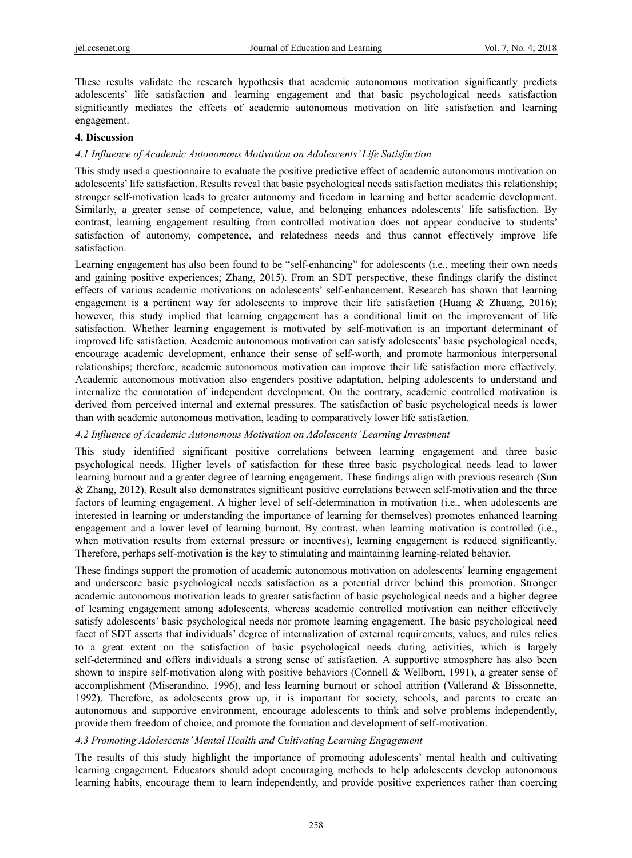These results validate the research hypothesis that academic autonomous motivation significantly predicts adolescents' life satisfaction and learning engagement and that basic psychological needs satisfaction significantly mediates the effects of academic autonomous motivation on life satisfaction and learning engagement.

#### **4. Discussion**

#### *4.1 Influence of Academic Autonomous Motivation on Adolescents' Life Satisfaction*

This study used a questionnaire to evaluate the positive predictive effect of academic autonomous motivation on adolescents' life satisfaction. Results reveal that basic psychological needs satisfaction mediates this relationship; stronger self-motivation leads to greater autonomy and freedom in learning and better academic development. Similarly, a greater sense of competence, value, and belonging enhances adolescents' life satisfaction. By contrast, learning engagement resulting from controlled motivation does not appear conducive to students' satisfaction of autonomy, competence, and relatedness needs and thus cannot effectively improve life satisfaction.

Learning engagement has also been found to be "self-enhancing" for adolescents (i.e., meeting their own needs and gaining positive experiences; Zhang, 2015). From an SDT perspective, these findings clarify the distinct effects of various academic motivations on adolescents' self-enhancement. Research has shown that learning engagement is a pertinent way for adolescents to improve their life satisfaction (Huang & Zhuang, 2016); however, this study implied that learning engagement has a conditional limit on the improvement of life satisfaction. Whether learning engagement is motivated by self-motivation is an important determinant of improved life satisfaction. Academic autonomous motivation can satisfy adolescents' basic psychological needs, encourage academic development, enhance their sense of self-worth, and promote harmonious interpersonal relationships; therefore, academic autonomous motivation can improve their life satisfaction more effectively. Academic autonomous motivation also engenders positive adaptation, helping adolescents to understand and internalize the connotation of independent development. On the contrary, academic controlled motivation is derived from perceived internal and external pressures. The satisfaction of basic psychological needs is lower than with academic autonomous motivation, leading to comparatively lower life satisfaction.

#### *4.2 Influence of Academic Autonomous Motivation on Adolescents' Learning Investment*

This study identified significant positive correlations between learning engagement and three basic psychological needs. Higher levels of satisfaction for these three basic psychological needs lead to lower learning burnout and a greater degree of learning engagement. These findings align with previous research (Sun & Zhang, 2012). Result also demonstrates significant positive correlations between self-motivation and the three factors of learning engagement. A higher level of self-determination in motivation (i.e., when adolescents are interested in learning or understanding the importance of learning for themselves) promotes enhanced learning engagement and a lower level of learning burnout. By contrast, when learning motivation is controlled (i.e., when motivation results from external pressure or incentives), learning engagement is reduced significantly. Therefore, perhaps self-motivation is the key to stimulating and maintaining learning-related behavior.

These findings support the promotion of academic autonomous motivation on adolescents' learning engagement and underscore basic psychological needs satisfaction as a potential driver behind this promotion. Stronger academic autonomous motivation leads to greater satisfaction of basic psychological needs and a higher degree of learning engagement among adolescents, whereas academic controlled motivation can neither effectively satisfy adolescents' basic psychological needs nor promote learning engagement. The basic psychological need facet of SDT asserts that individuals' degree of internalization of external requirements, values, and rules relies to a great extent on the satisfaction of basic psychological needs during activities, which is largely self-determined and offers individuals a strong sense of satisfaction. A supportive atmosphere has also been shown to inspire self-motivation along with positive behaviors (Connell & Wellborn, 1991), a greater sense of accomplishment (Miserandino, 1996), and less learning burnout or school attrition (Vallerand & Bissonnette, 1992). Therefore, as adolescents grow up, it is important for society, schools, and parents to create an autonomous and supportive environment, encourage adolescents to think and solve problems independently, provide them freedom of choice, and promote the formation and development of self-motivation.

#### *4.3 Promoting Adolescents' Mental Health and Cultivating Learning Engagement*

The results of this study highlight the importance of promoting adolescents' mental health and cultivating learning engagement. Educators should adopt encouraging methods to help adolescents develop autonomous learning habits, encourage them to learn independently, and provide positive experiences rather than coercing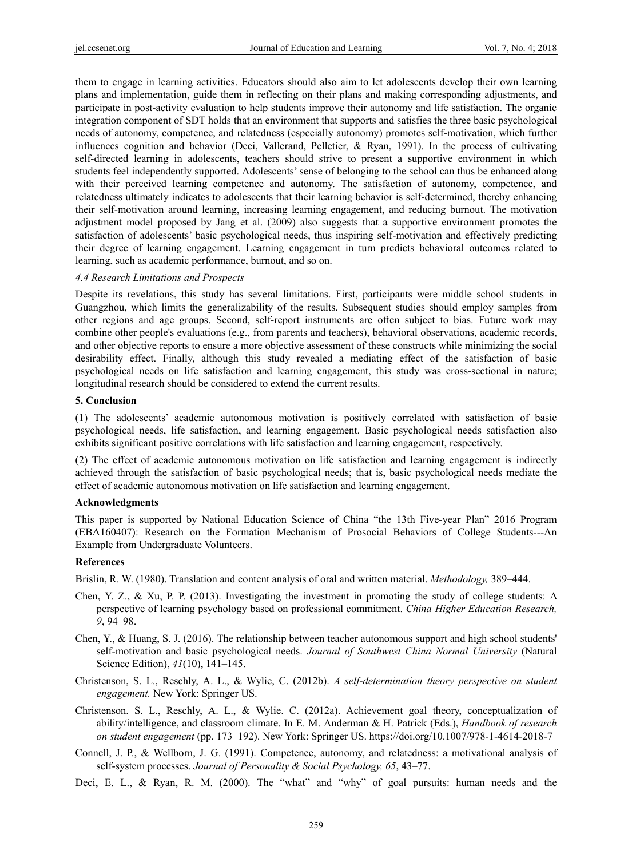them to engage in learning activities. Educators should also aim to let adolescents develop their own learning plans and implementation, guide them in reflecting on their plans and making corresponding adjustments, and participate in post-activity evaluation to help students improve their autonomy and life satisfaction. The organic integration component of SDT holds that an environment that supports and satisfies the three basic psychological needs of autonomy, competence, and relatedness (especially autonomy) promotes self-motivation, which further influences cognition and behavior (Deci, Vallerand, Pelletier, & Ryan, 1991). In the process of cultivating self-directed learning in adolescents, teachers should strive to present a supportive environment in which students feel independently supported. Adolescents' sense of belonging to the school can thus be enhanced along with their perceived learning competence and autonomy. The satisfaction of autonomy, competence, and relatedness ultimately indicates to adolescents that their learning behavior is self-determined, thereby enhancing their self-motivation around learning, increasing learning engagement, and reducing burnout. The motivation adjustment model proposed by Jang et al. (2009) also suggests that a supportive environment promotes the satisfaction of adolescents' basic psychological needs, thus inspiring self-motivation and effectively predicting their degree of learning engagement. Learning engagement in turn predicts behavioral outcomes related to learning, such as academic performance, burnout, and so on.

#### *4.4 Research Limitations and Prospects*

Despite its revelations, this study has several limitations. First, participants were middle school students in Guangzhou, which limits the generalizability of the results. Subsequent studies should employ samples from other regions and age groups. Second, self-report instruments are often subject to bias. Future work may combine other people's evaluations (e.g., from parents and teachers), behavioral observations, academic records, and other objective reports to ensure a more objective assessment of these constructs while minimizing the social desirability effect. Finally, although this study revealed a mediating effect of the satisfaction of basic psychological needs on life satisfaction and learning engagement, this study was cross-sectional in nature; longitudinal research should be considered to extend the current results.

#### **5. Conclusion**

(1) The adolescents' academic autonomous motivation is positively correlated with satisfaction of basic psychological needs, life satisfaction, and learning engagement. Basic psychological needs satisfaction also exhibits significant positive correlations with life satisfaction and learning engagement, respectively.

(2) The effect of academic autonomous motivation on life satisfaction and learning engagement is indirectly achieved through the satisfaction of basic psychological needs; that is, basic psychological needs mediate the effect of academic autonomous motivation on life satisfaction and learning engagement.

#### **Acknowledgments**

This paper is supported by National Education Science of China "the 13th Five-year Plan" 2016 Program (EBA160407): Research on the Formation Mechanism of Prosocial Behaviors of College Students---An Example from Undergraduate Volunteers.

#### **References**

Brislin, R. W. (1980). Translation and content analysis of oral and written material. *Methodology,* 389–444.

- Chen, Y. Z., & Xu, P. P. (2013). Investigating the investment in promoting the study of college students: A perspective of learning psychology based on professional commitment. *China Higher Education Research, 9*, 94–98.
- Chen, Y., & Huang, S. J. (2016). The relationship between teacher autonomous support and high school students' self-motivation and basic psychological needs. *Journal of Southwest China Normal University* (Natural Science Edition), *41*(10), 141–145.
- Christenson, S. L., Reschly, A. L., & Wylie, C. (2012b). *A self-determination theory perspective on student engagement.* New York: Springer US.
- Christenson. S. L., Reschly, A. L., & Wylie. C. (2012a). Achievement goal theory, conceptualization of ability/intelligence, and classroom climate. In E. M. Anderman & H. Patrick (Eds.), *Handbook of research on student engagement* (pp. 173–192). New York: Springer US. https://doi.org/10.1007/978-1-4614-2018-7
- Connell, J. P., & Wellborn, J. G. (1991). Competence, autonomy, and relatedness: a motivational analysis of self-system processes. *Journal of Personality & Social Psychology, 65*, 43–77.
- Deci, E. L., & Ryan, R. M. (2000). The "what" and "why" of goal pursuits: human needs and the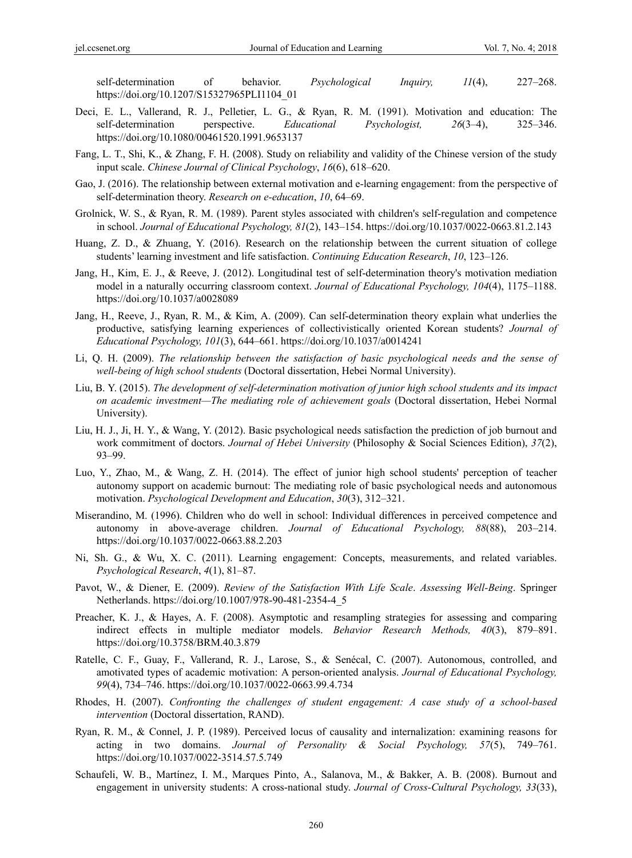self-determination of behavior. *Psychological Inquiry, 11*(4), 227–268. https://doi.org/10.1207/S15327965PLI1104\_01

- Deci, E. L., Vallerand, R. J., Pelletier, L. G., & Ryan, R. M. (1991). Motivation and education: The self-determination perspective. *Educational Psychologist, 26*(3–4), 325–346. https://doi.org/10.1080/00461520.1991.9653137
- Fang, L. T., Shi, K., & Zhang, F. H. (2008). Study on reliability and validity of the Chinese version of the study input scale. *Chinese Journal of Clinical Psychology*, *16*(6), 618–620.
- Gao, J. (2016). The relationship between external motivation and e-learning engagement: from the perspective of self-determination theory. *Research on e-education*, *10*, 64–69.
- Grolnick, W. S., & Ryan, R. M. (1989). Parent styles associated with children's self-regulation and competence in school. *Journal of Educational Psychology, 81*(2), 143–154. https://doi.org/10.1037/0022-0663.81.2.143
- Huang, Z. D., & Zhuang, Y. (2016). Research on the relationship between the current situation of college students' learning investment and life satisfaction. *Continuing Education Research*, *10*, 123–126.
- Jang, H., Kim, E. J., & Reeve, J. (2012). Longitudinal test of self-determination theory's motivation mediation model in a naturally occurring classroom context. *Journal of Educational Psychology, 104*(4), 1175–1188. https://doi.org/10.1037/a0028089
- Jang, H., Reeve, J., Ryan, R. M., & Kim, A. (2009). Can self-determination theory explain what underlies the productive, satisfying learning experiences of collectivistically oriented Korean students? *Journal of Educational Psychology, 101*(3), 644–661. https://doi.org/10.1037/a0014241
- Li, Q. H. (2009). *The relationship between the satisfaction of basic psychological needs and the sense of well-being of high school students* (Doctoral dissertation, Hebei Normal University).
- Liu, B. Y. (2015). *The development of self-determination motivation of junior high school students and its impact on academic investment—The mediating role of achievement goals* (Doctoral dissertation, Hebei Normal University).
- Liu, H. J., Ji, H. Y., & Wang, Y. (2012). Basic psychological needs satisfaction the prediction of job burnout and work commitment of doctors. *Journal of Hebei University* (Philosophy & Social Sciences Edition), *37*(2), 93–99.
- Luo, Y., Zhao, M., & Wang, Z. H. (2014). The effect of junior high school students' perception of teacher autonomy support on academic burnout: The mediating role of basic psychological needs and autonomous motivation. *Psychological Development and Education*, *30*(3), 312–321.
- Miserandino, M. (1996). Children who do well in school: Individual differences in perceived competence and autonomy in above-average children. *Journal of Educational Psychology, 88*(88), 203–214. https://doi.org/10.1037/0022-0663.88.2.203
- Ni, Sh. G., & Wu, X. C. (2011). Learning engagement: Concepts, measurements, and related variables. *Psychological Research*, *4*(1), 81–87.
- Pavot, W., & Diener, E. (2009). *Review of the Satisfaction With Life Scale*. *Assessing Well-Being*. Springer Netherlands. https://doi.org/10.1007/978-90-481-2354-4\_5
- Preacher, K. J., & Hayes, A. F. (2008). Asymptotic and resampling strategies for assessing and comparing indirect effects in multiple mediator models. *Behavior Research Methods, 40*(3), 879–891. https://doi.org/10.3758/BRM.40.3.879
- Ratelle, C. F., Guay, F., Vallerand, R. J., Larose, S., & Senécal, C. (2007). Autonomous, controlled, and amotivated types of academic motivation: A person-oriented analysis. *Journal of Educational Psychology, 99*(4), 734–746. https://doi.org/10.1037/0022-0663.99.4.734
- Rhodes, H. (2007). *Confronting the challenges of student engagement: A case study of a school-based intervention* (Doctoral dissertation, RAND).
- Ryan, R. M., & Connel, J. P. (1989). Perceived locus of causality and internalization: examining reasons for acting in two domains. *Journal of Personality & Social Psychology, 57*(5), 749–761. https://doi.org/10.1037/0022-3514.57.5.749
- Schaufeli, W. B., Martínez, I. M., Marques Pinto, A., Salanova, M., & Bakker, A. B. (2008). Burnout and engagement in university students: A cross-national study. *Journal of Cross-Cultural Psychology, 33*(33),